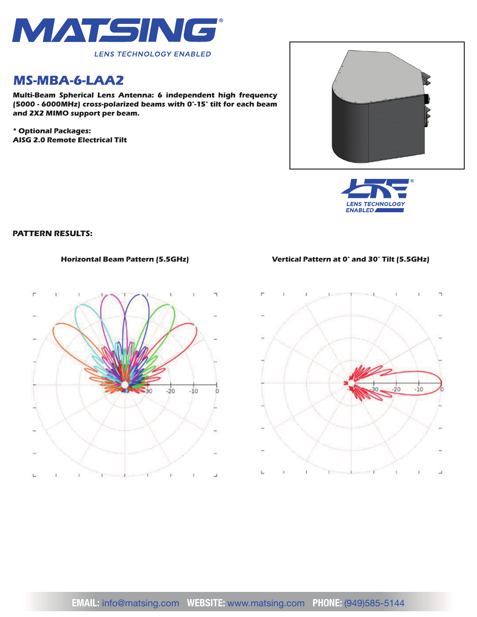

## *MS-MBA-6-LAA2*

*Multi-Beam Spherical Lens Antenna: 6 independent high frequency (5000 - 6000MHz) cross-polarized beams with 0°-15° tilt for each beam and 2X2 MIMO support per beam.*

*\* Optional Packages: AISG 2.0 Remote Electrical Tilt*





### *PATTERN RESULTS:*



#### *Horizontal Beam Pattern (5.5GHz) Vertical Pattern at 0° and 30° Tilt (5.5GHz)*